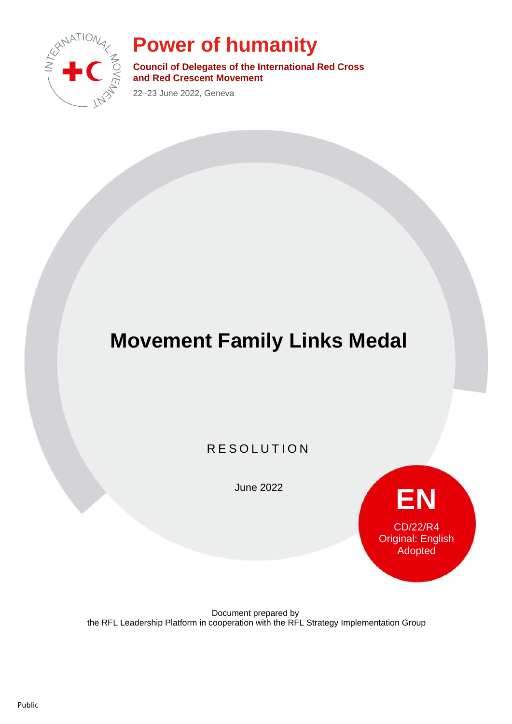

## **Power of humanity**

**Council of Delegates of the International Red Cross and Red Crescent Movement**

22–23 June 2022, Geneva

# **Movement Family Links Medal**

R E SOLUTION

June 2022



Document prepared by the RFL Leadership Platform in cooperation with the RFL Strategy Implementation Group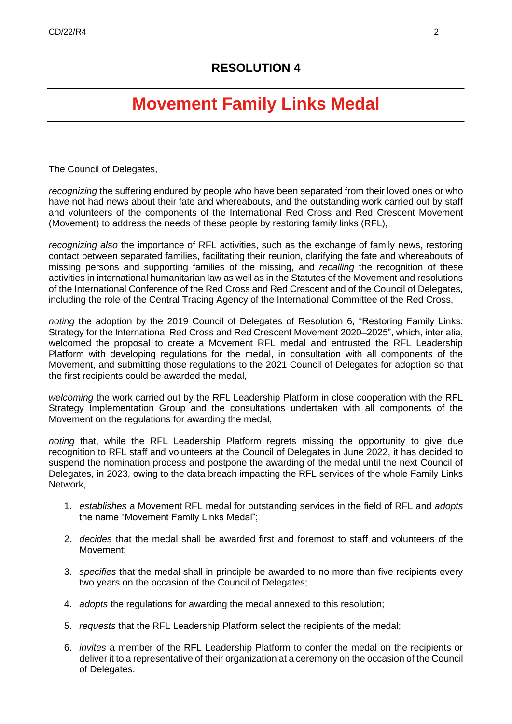### **Movement Family Links Medal**

The Council of Delegates,

*recognizing* the suffering endured by people who have been separated from their loved ones or who have not had news about their fate and whereabouts, and the outstanding work carried out by staff and volunteers of the components of the International Red Cross and Red Crescent Movement (Movement) to address the needs of these people by restoring family links (RFL),

*recognizing also* the importance of RFL activities, such as the exchange of family news, restoring contact between separated families, facilitating their reunion, clarifying the fate and whereabouts of missing persons and supporting families of the missing, and *recalling* the recognition of these activities in international humanitarian law as well as in the Statutes of the Movement and resolutions of the International Conference of the Red Cross and Red Crescent and of the Council of Delegates, including the role of the Central Tracing Agency of the International Committee of the Red Cross,

*noting* the adoption by the 2019 Council of Delegates of Resolution 6, "Restoring Family Links: Strategy for the International Red Cross and Red Crescent Movement 2020–2025", which, inter alia, welcomed the proposal to create a Movement RFL medal and entrusted the RFL Leadership Platform with developing regulations for the medal, in consultation with all components of the Movement, and submitting those regulations to the 2021 Council of Delegates for adoption so that the first recipients could be awarded the medal,

*welcoming* the work carried out by the RFL Leadership Platform in close cooperation with the RFL Strategy Implementation Group and the consultations undertaken with all components of the Movement on the regulations for awarding the medal,

*noting* that, while the RFL Leadership Platform regrets missing the opportunity to give due recognition to RFL staff and volunteers at the Council of Delegates in June 2022, it has decided to suspend the nomination process and postpone the awarding of the medal until the next Council of Delegates, in 2023, owing to the data breach impacting the RFL services of the whole Family Links Network,

- 1. *establishes* a Movement RFL medal for outstanding services in the field of RFL and *adopts* the name "Movement Family Links Medal";
- 2. *decides* that the medal shall be awarded first and foremost to staff and volunteers of the Movement;
- 3. *specifies* that the medal shall in principle be awarded to no more than five recipients every two years on the occasion of the Council of Delegates;
- 4. *adopts* the regulations for awarding the medal annexed to this resolution;
- 5. *requests* that the RFL Leadership Platform select the recipients of the medal;
- 6. *invites* a member of the RFL Leadership Platform to confer the medal on the recipients or deliver it to a representative of their organization at a ceremony on the occasion of the Council of Delegates.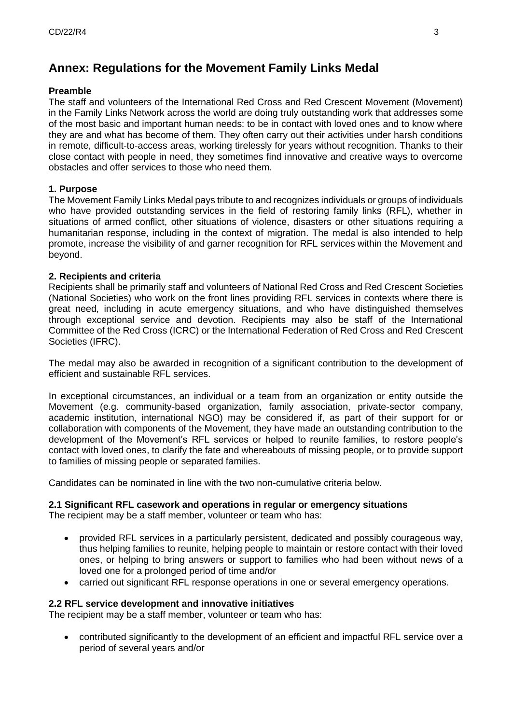### **Annex: Regulations for the Movement Family Links Medal**

#### **Preamble**

The staff and volunteers of the International Red Cross and Red Crescent Movement (Movement) in the Family Links Network across the world are doing truly outstanding work that addresses some of the most basic and important human needs: to be in contact with loved ones and to know where they are and what has become of them. They often carry out their activities under harsh conditions in remote, difficult-to-access areas, working tirelessly for years without recognition. Thanks to their close contact with people in need, they sometimes find innovative and creative ways to overcome obstacles and offer services to those who need them.

#### **1. Purpose**

The Movement Family Links Medal pays tribute to and recognizes individuals or groups of individuals who have provided outstanding services in the field of restoring family links (RFL), whether in situations of armed conflict, other situations of violence, disasters or other situations requiring a humanitarian response, including in the context of migration. The medal is also intended to help promote, increase the visibility of and garner recognition for RFL services within the Movement and beyond.

#### **2. Recipients and criteria**

Recipients shall be primarily staff and volunteers of National Red Cross and Red Crescent Societies (National Societies) who work on the front lines providing RFL services in contexts where there is great need, including in acute emergency situations, and who have distinguished themselves through exceptional service and devotion. Recipients may also be staff of the International Committee of the Red Cross (ICRC) or the International Federation of Red Cross and Red Crescent Societies (IFRC).

The medal may also be awarded in recognition of a significant contribution to the development of efficient and sustainable RFL services.

In exceptional circumstances, an individual or a team from an organization or entity outside the Movement (e.g. community-based organization, family association, private-sector company, academic institution, international NGO) may be considered if, as part of their support for or collaboration with components of the Movement, they have made an outstanding contribution to the development of the Movement's RFL services or helped to reunite families, to restore people's contact with loved ones, to clarify the fate and whereabouts of missing people, or to provide support to families of missing people or separated families.

Candidates can be nominated in line with the two non-cumulative criteria below.

#### **2.1 Significant RFL casework and operations in regular or emergency situations**

The recipient may be a staff member, volunteer or team who has:

- provided RFL services in a particularly persistent, dedicated and possibly courageous way, thus helping families to reunite, helping people to maintain or restore contact with their loved ones, or helping to bring answers or support to families who had been without news of a loved one for a prolonged period of time and/or
- carried out significant RFL response operations in one or several emergency operations.

#### **2.2 RFL service development and innovative initiatives**

The recipient may be a staff member, volunteer or team who has:

• contributed significantly to the development of an efficient and impactful RFL service over a period of several years and/or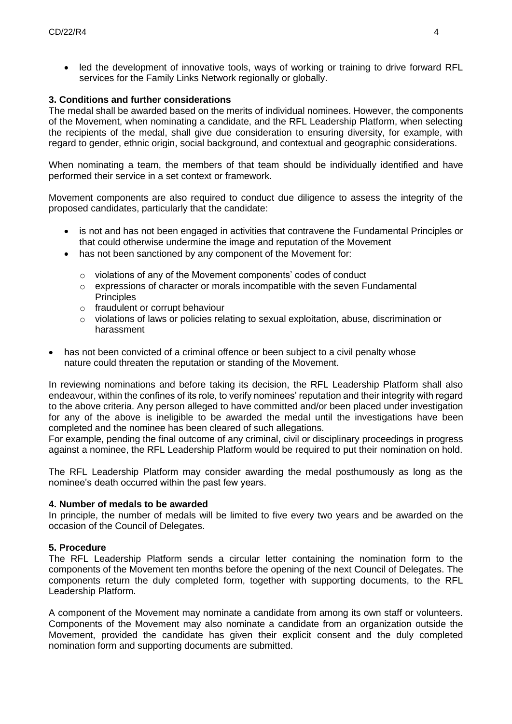• led the development of innovative tools, ways of working or training to drive forward RFL services for the Family Links Network regionally or globally.

#### **3. Conditions and further considerations**

The medal shall be awarded based on the merits of individual nominees. However, the components of the Movement, when nominating a candidate, and the RFL Leadership Platform, when selecting the recipients of the medal, shall give due consideration to ensuring diversity, for example, with regard to gender, ethnic origin, social background, and contextual and geographic considerations.

When nominating a team, the members of that team should be individually identified and have performed their service in a set context or framework.

Movement components are also required to conduct due diligence to assess the integrity of the proposed candidates, particularly that the candidate:

- is not and has not been engaged in activities that contravene the Fundamental Principles or that could otherwise undermine the image and reputation of the Movement
- has not been sanctioned by any component of the Movement for:
	- o violations of any of the Movement components' codes of conduct
	- $\circ$  expressions of character or morals incompatible with the seven Fundamental **Principles**
	- o fraudulent or corrupt behaviour
	- $\circ$  violations of laws or policies relating to sexual exploitation, abuse, discrimination or harassment
- has not been convicted of a criminal offence or been subject to a civil penalty whose nature could threaten the reputation or standing of the Movement.

In reviewing nominations and before taking its decision, the RFL Leadership Platform shall also endeavour, within the confines of its role, to verify nominees' reputation and their integrity with regard to the above criteria. Any person alleged to have committed and/or been placed under investigation for any of the above is ineligible to be awarded the medal until the investigations have been completed and the nominee has been cleared of such allegations.

For example, pending the final outcome of any criminal, civil or disciplinary proceedings in progress against a nominee, the RFL Leadership Platform would be required to put their nomination on hold.

The RFL Leadership Platform may consider awarding the medal posthumously as long as the nominee's death occurred within the past few years.

#### **4. Number of medals to be awarded**

In principle, the number of medals will be limited to five every two years and be awarded on the occasion of the Council of Delegates.

#### **5. Procedure**

The RFL Leadership Platform sends a circular letter containing the nomination form to the components of the Movement ten months before the opening of the next Council of Delegates. The components return the duly completed form, together with supporting documents, to the RFL Leadership Platform.

A component of the Movement may nominate a candidate from among its own staff or volunteers. Components of the Movement may also nominate a candidate from an organization outside the Movement, provided the candidate has given their explicit consent and the duly completed nomination form and supporting documents are submitted.